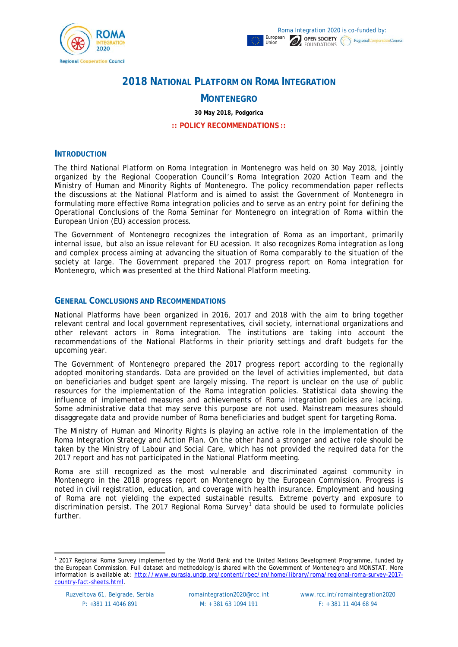

# **2018 NATIONAL PLATFORM ON ROMA INTEGRATION**

## **MONTENEGRO**

**30 May 2018, Podgorica**

**:: POLICY RECOMMENDATIONS ::**

#### **INTRODUCTION**

The third National Platform on Roma Integration in Montenegro was held on 30 May 2018, jointly organized by the Regional Cooperation Council's Roma Integration 2020 Action Team and the Ministry of Human and Minority Rights of Montenegro. The policy recommendation paper reflects the discussions at the National Platform and is aimed to assist the Government of Montenegro in formulating more effective Roma integration policies and to serve as an entry point for defining the Operational Conclusions of the Roma Seminar for Montenegro on integration of Roma within the European Union (EU) accession process.

The Government of Montenegro recognizes the integration of Roma as an important, primarily internal issue, but also an issue relevant for EU acession. It also recognizes Roma integration as long and complex process aiming at advancing the situation of Roma comparably to the situation of the society at large. The Government prepared the 2017 progress report on Roma integration for Montenegro, which was presented at the third National Platform meeting.

## **GENERAL CONCLUSIONS AND RECOMMENDATIONS**

National Platforms have been organized in 2016, 2017 and 2018 with the aim to bring together relevant central and local government representatives, civil society, international organizations and other relevant actors in Roma integration. The institutions are taking into account the recommendations of the National Platforms in their priority settings and draft budgets for the upcoming year.

The Government of Montenegro prepared the 2017 progress report according to the regionally adopted monitoring standards. Data are provided on the level of activities implemented, but data on beneficiaries and budget spent are largely missing. The report is unclear on the use of public resources for the implementation of the Roma integration policies. Statistical data showing the influence of implemented measures and achievements of Roma integration policies are lacking. Some administrative data that may serve this purpose are not used. Mainstream measures should disaggregate data and provide number of Roma beneficiaries and budget spent for targeting Roma.

The Ministry of Human and Minority Rights is playing an active role in the implementation of the Roma Integration Strategy and Action Plan. On the other hand a stronger and active role should be taken by the Ministry of Labour and Social Care, which has not provided the required data for the 2017 report and has not participated in the National Platform meeting.

Roma are still recognized as the most vulnerable and discriminated against community in Montenegro in the 2018 progress report on Montenegro by the European Commission. Progress is noted in civil registration, education, and coverage with health insurance. Employment and housing of Roma are not yielding the expected sustainable results. Extreme poverty and exposure to discrimination persist. The 20[1](#page-0-0)7 Regional Roma Survey<sup>1</sup> data should be used to formulate policies further.

 $\overline{\phantom{a}}$ 

<span id="page-0-0"></span><sup>1</sup> 2017 Regional Roma Survey implemented by the World Bank and the United Nations Development Programme, funded by the European Commission. Full dataset and methodology is shared with the Government of Montenegro and MONSTAT. More information is available at: [http://www.eurasia.undp.org/content/rbec/en/home/library/roma/regional-roma-survey-2017](http://www.eurasia.undp.org/content/rbec/en/home/library/roma/regional-roma-survey-2017-country-fact-sheets.html) [country-fact-sheets.html.](http://www.eurasia.undp.org/content/rbec/en/home/library/roma/regional-roma-survey-2017-country-fact-sheets.html)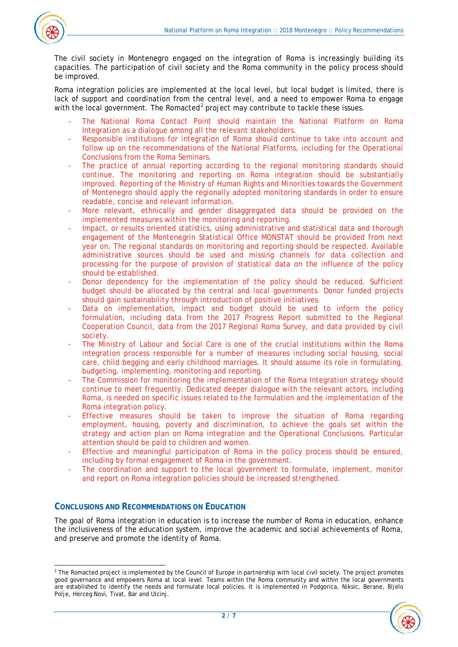

The civil society in Montenegro engaged on the integration of Roma is increasingly building its capacities. The participation of civil society and the Roma community in the policy process should be improved.

Roma integration policies are implemented at the local level, but local budget is limited, there is lack of support and coordination from the central level, and a need to empower Roma to engage with the local government. The Romacted<sup>[2](#page-1-0)</sup> project may contribute to tackle these issues.

- The National Roma Contact Point should maintain the National Platform on Roma Integration as a dialogue among all the relevant stakeholders.
- Responsible institutions for integration of Roma should continue to take into account and follow up on the recommendations of the National Platforms, including for the Operational Conclusions from the Roma Seminars.
- The practice of annual reporting according to the regional monitoring standards should continue. The monitoring and reporting on Roma integration should be substantially improved. Reporting of the Ministry of Human Rights and Minorities towards the Government of Montenegro should apply the regionally adopted monitoring standards in order to ensure readable, concise and relevant information.
- More relevant, ethnically and gender disaggregated data should be provided on the implemented measures within the monitoring and reporting.
- Impact, or results oriented statistics, using administrative and statistical data and thorough engagement of the Montenegrin Statistical Office MONSTAT should be provided from next year on. The regional standards on monitoring and reporting should be respected. Available administrative sources should be used and missing channels for data collection and processing for the purpose of provision of statistical data on the influence of the policy should be established.
- Donor dependency for the implementation of the policy should be reduced. Sufficient budget should be allocated by the central and local governments. Donor funded projects should gain sustainability through introduction of positive initiatives.
- Data on implementation, impact and budget should be used to inform the policy formulation, including data from the 2017 Progress Report submitted to the Regional Cooperation Council, data from the 2017 Regional Roma Survey, and data provided by civil society.
- The Ministry of Labour and Social Care is one of the crucial institutions within the Roma integration process responsible for a number of measures including social housing, social care, child begging and early childhood marriages. It should assume its role in formulating, budgeting, implementing, monitoring and reporting.
- The Commission for monitoring the implementation of the Roma Integration strategy should continue to meet frequently. Dedicated deeper dialogue with the relevant actors, including Roma, is needed on specific issues related to the formulation and the implementation of the Roma integration policy.
- Effective measures should be taken to improve the situation of Roma regarding employment, housing, poverty and discrimination, to achieve the goals set within the strategy and action plan on Roma integration and the Operational Conclusions. Particular attention should be paid to children and women.
- Effective and meaningful participation of Roma in the policy process should be ensured, including by formal engagement of Roma in the government.
- The coordination and support to the local government to formulate, implement, monitor and report on Roma integration policies should be increased strengthened.

## **CONCLUSIONS AND RECOMMENDATIONS ON EDUCATION**

The goal of Roma integration in education is to increase the number of Roma in education, enhance the inclusiveness of the education system, improve the academic and social achievements of Roma, and preserve and promote the identity of Roma.

<span id="page-1-0"></span> $\overline{a}$  $2$  The Romacted project is implemented by the Council of Europe in partnership with local civil society. The project promotes good governance and empowers Roma at local level. Teams within the Roma community and within the local governments are established to identify the needs and formulate local policies. It is implemented in Podgorica, Niksic, Berane, Bijelo Polje, Herceg Novi, Tivat, Bar and Ulcinj.

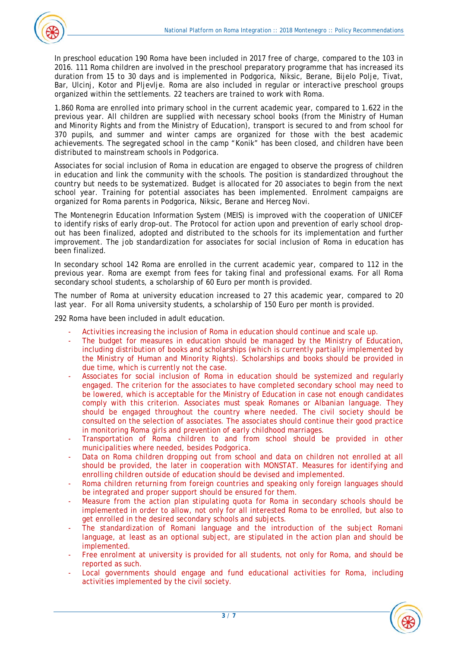

In preschool education 190 Roma have been included in 2017 free of charge, compared to the 103 in 2016. 111 Roma children are involved in the preschool preparatory programme that has increased its duration from 15 to 30 days and is implemented in Podgorica, Niksic, Berane, Bijelo Polje, Tivat, Bar, Ulcinj, Kotor and Pljevlje. Roma are also included in regular or interactive preschool groups organized within the settlements. 22 teachers are trained to work with Roma.

1.860 Roma are enrolled into primary school in the current academic year, compared to 1.622 in the previous year. All children are supplied with necessary school books (from the Ministry of Human and Minority Rights and from the Ministry of Education), transport is secured to and from school for 370 pupils, and summer and winter camps are organized for those with the best academic achievements. The segregated school in the camp "Konik" has been closed, and children have been distributed to mainstream schools in Podgorica.

Associates for social inclusion of Roma in education are engaged to observe the progress of children in education and link the community with the schools. The position is standardized throughout the country but needs to be systematized. Budget is allocated for 20 associates to begin from the next school year. Training for potential associates has been implemented. Enrolment campaigns are organized for Roma parents in Podgorica, Niksic, Berane and Herceg Novi.

The Montenegrin Education Information System (MEIS) is improved with the cooperation of UNICEF to identify risks of early drop-out. The Protocol for action upon and prevention of early school dropout has been finalized, adopted and distributed to the schools for its implementation and further improvement. The job standardization for associates for social inclusion of Roma in education has been finalized.

In secondary school 142 Roma are enrolled in the current academic year, compared to 112 in the previous year. Roma are exempt from fees for taking final and professional exams. For all Roma secondary school students, a scholarship of 60 Euro per month is provided.

The number of Roma at university education increased to 27 this academic year, compared to 20 last year. For all Roma university students, a scholarship of 150 Euro per month is provided.

292 Roma have been included in adult education.

- Activities increasing the inclusion of Roma in education should continue and scale up.
- The budget for measures in education should be managed by the Ministry of Education, including distribution of books and scholarships (which is currently partially implemented by the Ministry of Human and Minority Rights). Scholarships and books should be provided in due time, which is currently not the case.
- Associates for social inclusion of Roma in education should be systemized and regularly engaged. The criterion for the associates to have completed secondary school may need to be lowered, which is acceptable for the Ministry of Education in case not enough candidates comply with this criterion. Associates must speak Romanes or Albanian language. They should be engaged throughout the country where needed. The civil society should be consulted on the selection of associates. The associates should continue their good practice in monitoring Roma girls and prevention of early childhood marriages.
- Transportation of Roma children to and from school should be provided in other municipalities where needed, besides Podgorica.
- Data on Roma children dropping out from school and data on children not enrolled at all should be provided, the later in cooperation with MONSTAT. Measures for identifying and enrolling children outside of education should be devised and implemented.
- Roma children returning from foreign countries and speaking only foreign languages should be integrated and proper support should be ensured for them.
- Measure from the action plan stipulating quota for Roma in secondary schools should be implemented in order to allow, not only for all interested Roma to be enrolled, but also to get enrolled in the desired secondary schools and subjects.
- The standardization of Romani language and the introduction of the subject Romani language, at least as an optional subject, are stipulated in the action plan and should be implemented.
- Free enrolment at university is provided for all students, not only for Roma, and should be reported as such.
- Local governments should engage and fund educational activities for Roma, including activities implemented by the civil society.

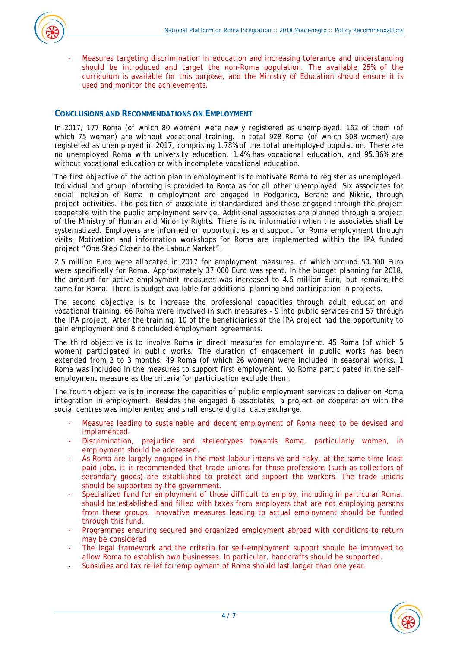

- Measures targeting discrimination in education and increasing tolerance and understanding should be introduced and target the non-Roma population. The available 25% of the curriculum is available for this purpose, and the Ministry of Education should ensure it is used and monitor the achievements.

#### **CONCLUSIONS AND RECOMMENDATIONS ON EMPLOYMENT**

In 2017, 177 Roma (of which 80 women) were newly registered as unemployed. 162 of them (of which 75 women) are without vocational training. In total 928 Roma (of which 508 women) are registered as unemployed in 2017, comprising 1.78% of the total unemployed population. There are no unemployed Roma with university education, 1.4% has vocational education, and 95.36% are without vocational education or with incomplete vocational education.

The first objective of the action plan in employment is to motivate Roma to register as unemployed. Individual and group informing is provided to Roma as for all other unemployed. Six associates for social inclusion of Roma in employment are engaged in Podgorica, Berane and Niksic, through project activities. The position of associate is standardized and those engaged through the project cooperate with the public employment service. Additional associates are planned through a project of the Ministry of Human and Minority Rights. There is no information when the associates shall be systematized. Employers are informed on opportunities and support for Roma employment through visits. Motivation and information workshops for Roma are implemented within the IPA funded project "One Step Closer to the Labour Market".

2.5 million Euro were allocated in 2017 for employment measures, of which around 50.000 Euro were specifically for Roma. Approximately 37.000 Euro was spent. In the budget planning for 2018, the amount for active employment measures was increased to 4.5 million Euro, but remains the same for Roma. There is budget available for additional planning and participation in projects.

The second objective is to increase the professional capacities through adult education and vocational training. 66 Roma were involved in such measures - 9 into public services and 57 through the IPA project. After the training, 10 of the beneficiaries of the IPA project had the opportunity to gain employment and 8 concluded employment agreements.

The third objective is to involve Roma in direct measures for employment. 45 Roma (of which 5 women) participated in public works. The duration of engagement in public works has been extended from 2 to 3 months. 49 Roma (of which 26 women) were included in seasonal works. 1 Roma was included in the measures to support first employment. No Roma participated in the selfemployment measure as the criteria for participation exclude them.

The fourth objective is to increase the capacities of public employment services to deliver on Roma integration in employment. Besides the engaged 6 associates, a project on cooperation with the social centres was implemented and shall ensure digital data exchange.

- Measures leading to sustainable and decent employment of Roma need to be devised and implemented.
- Discrimination, prejudice and stereotypes towards Roma, particularly women, in employment should be addressed.
- As Roma are largely engaged in the most labour intensive and risky, at the same time least paid jobs, it is recommended that trade unions for those professions (such as collectors of secondary goods) are established to protect and support the workers. The trade unions should be supported by the government.
- Specialized fund for employment of those difficult to employ, including in particular Roma, should be established and filled with taxes from employers that are not employing persons from these groups. Innovative measures leading to actual employment should be funded through this fund.
- Programmes ensuring secured and organized employment abroad with conditions to return may be considered.
- The legal framework and the criteria for self-employment support should be improved to allow Roma to establish own businesses. In particular, handcrafts should be supported.
- Subsidies and tax relief for employment of Roma should last longer than one year.

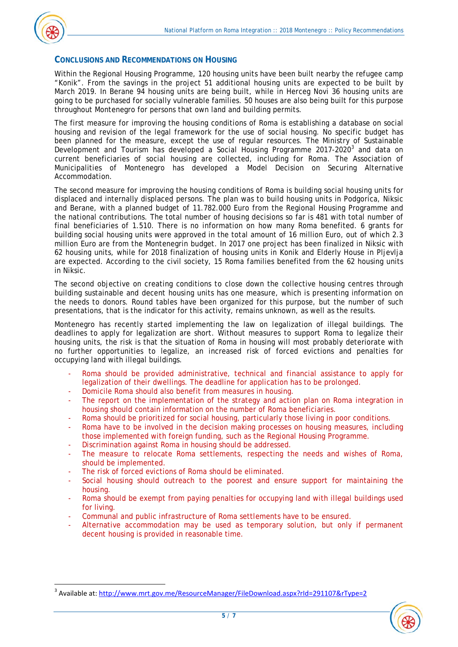

## **CONCLUSIONS AND RECOMMENDATIONS ON HOUSING**

Within the Regional Housing Programme, 120 housing units have been built nearby the refugee camp "Konik". From the savings in the project 51 additional housing units are expected to be built by March 2019. In Berane 94 housing units are being built, while in Herceg Novi 36 housing units are going to be purchased for socially vulnerable families. 50 houses are also being built for this purpose throughout Montenegro for persons that own land and building permits.

The first measure for improving the housing conditions of Roma is establishing a database on social housing and revision of the legal framework for the use of social housing. No specific budget has been planned for the measure, except the use of regular resources. The Ministry of Sustainable Development and Tourism has developed a Social Housing Programme 2017-2020 $^3$  $^3$  and data on current beneficiaries of social housing are collected, including for Roma. The Association of Municipalities of Montenegro has developed a Model Decision on Securing Alternative Accommodation.

The second measure for improving the housing conditions of Roma is building social housing units for displaced and internally displaced persons. The plan was to build housing units in Podgorica, Niksic and Berane, with a planned budget of 11.782.000 Euro from the Regional Housing Programme and the national contributions. The total number of housing decisions so far is 481 with total number of final beneficiaries of 1.510. There is no information on how many Roma benefited. 6 grants for building social housing units were approved in the total amount of 16 million Euro, out of which 2.3 million Euro are from the Montenegrin budget. In 2017 one project has been finalized in Niksic with 62 housing units, while for 2018 finalization of housing units in Konik and Elderly House in Pljevlja are expected. According to the civil society, 15 Roma families benefited from the 62 housing units in Niksic.

The second objective on creating conditions to close down the collective housing centres through building sustainable and decent housing units has one measure, which is presenting information on the needs to donors. Round tables have been organized for this purpose, but the number of such presentations, that is the indicator for this activity, remains unknown, as well as the results.

Montenegro has recently started implementing the law on legalization of illegal buildings. The deadlines to apply for legalization are short. Without measures to support Roma to legalize their housing units, the risk is that the situation of Roma in housing will most probably deteriorate with no further opportunities to legalize, an increased risk of forced evictions and penalties for occupying land with illegal buildings.

- Roma should be provided administrative, technical and financial assistance to apply for legalization of their dwellings. The deadline for application has to be prolonged.
- Domicile Roma should also benefit from measures in housing.
- The report on the implementation of the strategy and action plan on Roma integration in housing should contain information on the number of Roma beneficiaries.
- Roma should be prioritized for social housing, particularly those living in poor conditions.
- Roma have to be involved in the decision making processes on housing measures, including those implemented with foreign funding, such as the Regional Housing Programme.
- Discrimination against Roma in housing should be addressed.
- The measure to relocate Roma settlements, respecting the needs and wishes of Roma, should be implemented.
- The risk of forced evictions of Roma should be eliminated.
- Social housing should outreach to the poorest and ensure support for maintaining the housing.
- Roma should be exempt from paying penalties for occupying land with illegal buildings used for living.
- Communal and public infrastructure of Roma settlements have to be ensured.
- Alternative accommodation may be used as temporary solution, but only if permanent decent housing is provided in reasonable time.

<span id="page-4-0"></span><sup>&</sup>lt;sup>3</sup> Available at:<http://www.mrt.gov.me/ResourceManager/FileDownload.aspx?rId=291107&rType=2>

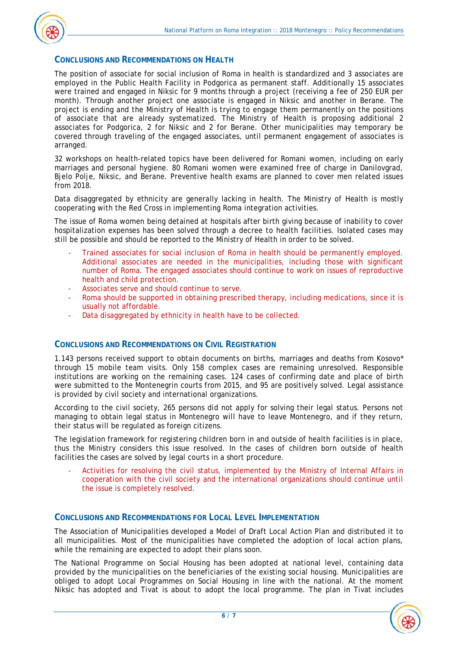### **CONCLUSIONS AND RECOMMENDATIONS ON HEALTH**

The position of associate for social inclusion of Roma in health is standardized and 3 associates are employed in the Public Health Facility in Podgorica as permanent staff. Additionally 15 associates were trained and engaged in Niksic for 9 months through a project (receiving a fee of 250 EUR per month). Through another project one associate is engaged in Niksic and another in Berane. The project is ending and the Ministry of Health is trying to engage them permanently on the positions of associate that are already systematized. The Ministry of Health is proposing additional 2 associates for Podgorica, 2 for Niksic and 2 for Berane. Other municipalities may temporary be covered through traveling of the engaged associates, until permanent engagement of associates is arranged.

32 workshops on health-related topics have been delivered for Romani women, including on early marriages and personal hygiene. 80 Romani women were examined free of charge in Danilovgrad, Bjelo Polje, Niksic, and Berane. Preventive health exams are planned to cover men related issues from 2018.

Data disaggregated by ethnicity are generally lacking in health. The Ministry of Health is mostly cooperating with the Red Cross in implementing Roma integration activities.

The issue of Roma women being detained at hospitals after birth giving because of inability to cover hospitalization expenses has been solved through a decree to health facilities. Isolated cases may still be possible and should be reported to the Ministry of Health in order to be solved.

- Trained associates for social inclusion of Roma in health should be permanently employed. Additional associates are needed in the municipalities, including those with significant number of Roma. The engaged associates should continue to work on issues of reproductive health and child protection.
- Associates serve and should continue to serve.
- Roma should be supported in obtaining prescribed therapy, including medications, since it is usually not affordable.
- Data disaggregated by ethnicity in health have to be collected.

#### **CONCLUSIONS AND RECOMMENDATIONS ON CIVIL REGISTRATION**

1.143 persons received support to obtain documents on births, marriages and deaths from Kosovo\* through 15 mobile team visits. Only 158 complex cases are remaining unresolved. Responsible institutions are working on the remaining cases. 124 cases of confirming date and place of birth were submitted to the Montenegrin courts from 2015, and 95 are positively solved. Legal assistance is provided by civil society and international organizations.

According to the civil society, 265 persons did not apply for solving their legal status. Persons not managing to obtain legal status in Montenegro will have to leave Montenegro, and if they return, their status will be regulated as foreign citizens.

The legislation framework for registering children born in and outside of health facilities is in place, thus the Ministry considers this issue resolved. In the cases of children born outside of health facilities the cases are solved by legal courts in a short procedure.

Activities for resolving the civil status, implemented by the Ministry of Internal Affairs in cooperation with the civil society and the international organizations should continue until the issue is completely resolved.

#### **CONCLUSIONS AND RECOMMENDATIONS FOR LOCAL LEVEL IMPLEMENTATION**

The Association of Municipalities developed a Model of Draft Local Action Plan and distributed it to all municipalities. Most of the municipalities have completed the adoption of local action plans, while the remaining are expected to adopt their plans soon.

The National Programme on Social Housing has been adopted at national level, containing data provided by the municipalities on the beneficiaries of the existing social housing. Municipalities are obliged to adopt Local Programmes on Social Housing in line with the national. At the moment Niksic has adopted and Tivat is about to adopt the local programme. The plan in Tivat includes